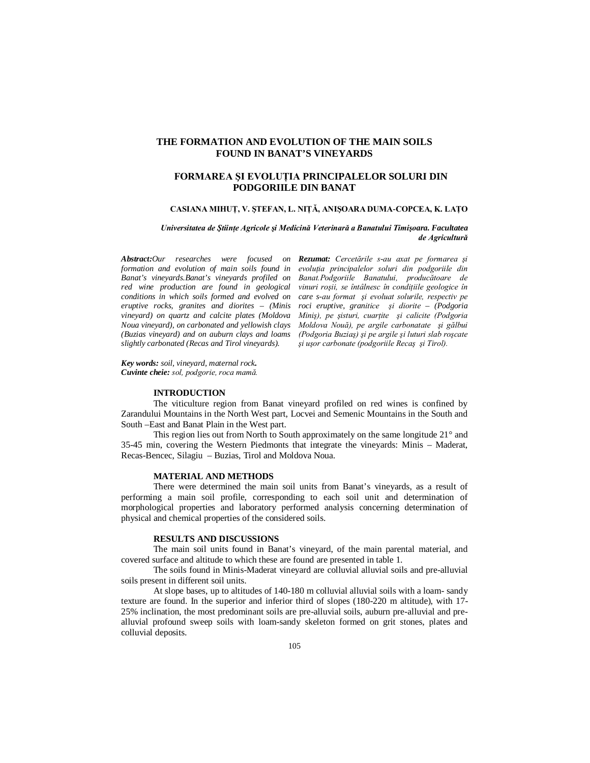## **THE FORMATION AND EVOLUTION OF THE MAIN SOILS FOUND IN BANAT'S VINEYARDS**

## **FORMAREA ŞI EVOLUŢIA PRINCIPALELOR SOLURI DIN PODGORIILE DIN BANAT**

### **CASIANA MIHUŢ, V. ŞTEFAN, L. NIŢĂ, ANIŞOARA DUMA-COPCEA, K. LAŢO**

*Universitatea de Ştiinţe Agricole şi Medicină Veterinară a Banatului Timişoara. Facultatea de Agricultură*

*Abstract:Our researches were focused on formation and evolution of main soils found in Banat's vineyards.Banat's vineyards profiled on red wine production are found in geological conditions in which soils formed and evolved on eruptive rocks, granites and diorites – (Minis vineyard) on quartz and calcite plates (Moldova Noua vineyard), on carbonated and yellowish clays (Buzias vineyard) and on auburn clays and loams slightly carbonated (Recas and Tirol vineyards).*

*Rezumat: Cercetările s-au axat pe formarea şi evoluţia principalelor soluri din podgoriile din Banat.Podgoriile Banatului, producătoare de vinuri roşii, se întâlnesc în condiţiile geologice în care s-au format şi evoluat solurile, respectiv pe roci eruptive, granitice şi diorite – (Podgoria Miniş), pe şisturi, cuarţite şi calicite (Podgoria Moldova Nouă), pe argile carbonatate şi gălbui (Podgoria Buziaş) şi pe argile şi luturi slab roşcate şi uşor carbonate (podgoriile Recaş şi Tirol).*

*Key words: soil, vineyard, maternal rock. Cuvinte cheie: sol, podgorie, roca mamă.*

## **INTRODUCTION**

The viticulture region from Banat vineyard profiled on red wines is confined by Zarandului Mountains in the North West part, Locvei and Semenic Mountains in the South and South –East and Banat Plain in the West part.

This region lies out from North to South approximately on the same longitude 21° and 35-45 min, covering the Western Piedmonts that integrate the vineyards: Minis – Maderat, Recas-Bencec, Silagiu – Buzias, Tirol and Moldova Noua.

### **MATERIAL AND METHODS**

There were determined the main soil units from Banat's vineyards, as a result of performing a main soil profile, corresponding to each soil unit and determination of morphological properties and laboratory performed analysis concerning determination of physical and chemical properties of the considered soils.

#### **RESULTS AND DISCUSSIONS**

The main soil units found in Banat's vineyard, of the main parental material, and covered surface and altitude to which these are found are presented in table 1.

The soils found in Minis-Maderat vineyard are colluvial alluvial soils and pre-alluvial soils present in different soil units.

At slope bases, up to altitudes of 140-180 m colluvial alluvial soils with a loam- sandy texture are found. In the superior and inferior third of slopes (180-220 m altitude), with 17- 25% inclination, the most predominant soils are pre-alluvial soils, auburn pre-alluvial and prealluvial profound sweep soils with loam-sandy skeleton formed on grit stones, plates and colluvial deposits.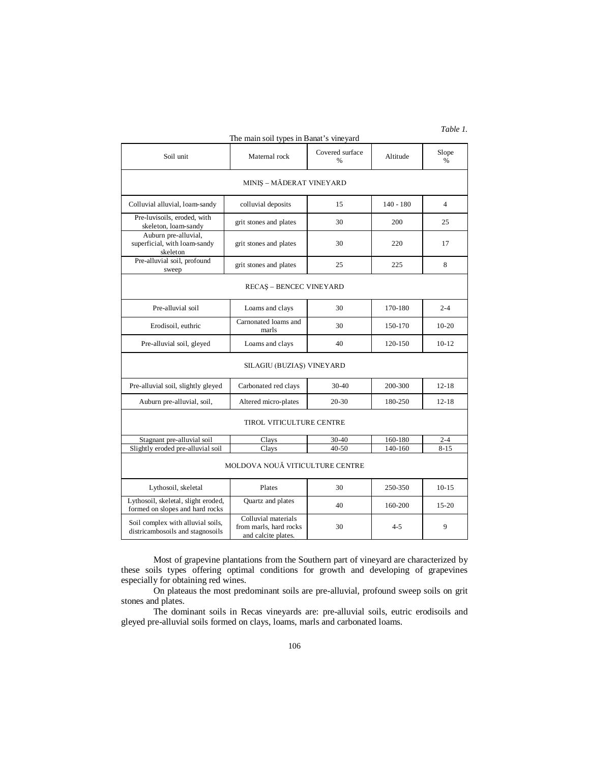## The main soil types in Banat's vineyard

# *Table 1.*

| Soil unit                                                              | Maternal rock                                                        | Covered surface<br>% | Altitude    | Slope<br>$\%$  |
|------------------------------------------------------------------------|----------------------------------------------------------------------|----------------------|-------------|----------------|
| MINIS - MĂDERAT VINEYARD                                               |                                                                      |                      |             |                |
| Colluvial alluvial, loam-sandy                                         | colluvial deposits                                                   | 15                   | $140 - 180$ | $\overline{4}$ |
| Pre-luvisoils, eroded, with<br>skeleton, loam-sandy                    | grit stones and plates                                               | 30                   | 200         | 25             |
| Auburn pre-alluvial,<br>superficial, with loam-sandy<br>skeleton       | grit stones and plates                                               | 30                   | 220         | 17             |
| Pre-alluvial soil, profound<br>sweep                                   | grit stones and plates                                               | 25                   | 225         | 8              |
| <b>RECAS - BENCEC VINEYARD</b>                                         |                                                                      |                      |             |                |
| Pre-alluvial soil                                                      | Loams and clays                                                      | 30                   | 170-180     | $2 - 4$        |
| Erodisoil, euthric                                                     | Carnonated loams and<br>marls                                        | 30                   | 150-170     | $10-20$        |
| Pre-alluvial soil, gleyed                                              | Loams and clays                                                      | 40                   | 120-150     | $10-12$        |
| SILAGIU (BUZIAS) VINEYARD                                              |                                                                      |                      |             |                |
| Pre-alluvial soil, slightly gleyed                                     | Carbonated red clays                                                 | $30-40$              | 200-300     | $12 - 18$      |
| Auburn pre-alluvial, soil,                                             | Altered micro-plates                                                 | 20-30                | 180-250     | $12 - 18$      |
| TIROL VITICULTURE CENTRE                                               |                                                                      |                      |             |                |
| Stagnant pre-alluvial soil                                             | Clays                                                                | 30-40                | 160-180     | $2 - 4$        |
| Slightly eroded pre-alluvial soil                                      | Clays                                                                | $40 - 50$            | 140-160     | $8 - 15$       |
| MOLDOVA NOUĂ VITICULTURE CENTRE                                        |                                                                      |                      |             |                |
| Lythosoil, skeletal                                                    | Plates                                                               | 30                   | 250-350     | $10 - 15$      |
| Lythosoil, skeletal, slight eroded,<br>formed on slopes and hard rocks | Quartz and plates                                                    | 40                   | 160-200     | $15 - 20$      |
| Soil complex with alluvial soils,<br>districambosoils and stagnosoils  | Colluvial materials<br>from marls, hard rocks<br>and calcite plates. | 30                   | $4 - 5$     | 9              |

Most of grapevine plantations from the Southern part of vineyard are characterized by these soils types offering optimal conditions for growth and developing of grapevines especially for obtaining red wines.

On plateaus the most predominant soils are pre-alluvial, profound sweep soils on grit stones and plates.

The dominant soils in Recas vineyards are: pre-alluvial soils, eutric erodisoils and gleyed pre-alluvial soils formed on clays, loams, marls and carbonated loams.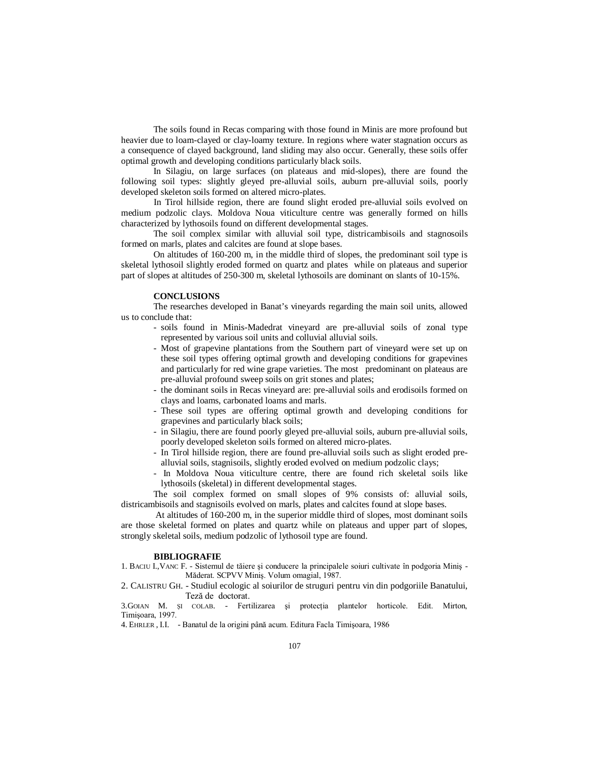The soils found in Recas comparing with those found in Minis are more profound but heavier due to loam-clayed or clay-loamy texture. In regions where water stagnation occurs as a consequence of clayed background, land sliding may also occur. Generally, these soils offer optimal growth and developing conditions particularly black soils.

In Silagiu, on large surfaces (on plateaus and mid-slopes), there are found the following soil types: slightly gleyed pre-alluvial soils, auburn pre-alluvial soils, poorly developed skeleton soils formed on altered micro-plates.

In Tirol hillside region, there are found slight eroded pre-alluvial soils evolved on medium podzolic clays. Moldova Noua viticulture centre was generally formed on hills characterized by lythosoils found on different developmental stages.

The soil complex similar with alluvial soil type, districambisoils and stagnosoils formed on marls, plates and calcites are found at slope bases.

On altitudes of 160-200 m, in the middle third of slopes, the predominant soil type is skeletal lythosoil slightly eroded formed on quartz and plates while on plateaus and superior part of slopes at altitudes of 250-300 m, skeletal lythosoils are dominant on slants of 10-15%.

### **CONCLUSIONS**

The researches developed in Banat's vineyards regarding the main soil units, allowed us to conclude that:

- soils found in Minis-Madedrat vineyard are pre-alluvial soils of zonal type represented by various soil units and colluvial alluvial soils.
- Most of grapevine plantations from the Southern part of vineyard were set up on these soil types offering optimal growth and developing conditions for grapevines and particularly for red wine grape varieties. The most predominant on plateaus are pre-alluvial profound sweep soils on grit stones and plates;
- the dominant soils in Recas vineyard are: pre-alluvial soils and erodisoils formed on clays and loams, carbonated loams and marls.
- These soil types are offering optimal growth and developing conditions for grapevines and particularly black soils;
- in Silagiu, there are found poorly gleyed pre-alluvial soils, auburn pre-alluvial soils, poorly developed skeleton soils formed on altered micro-plates.
- In Tirol hillside region, there are found pre-alluvial soils such as slight eroded prealluvial soils, stagnisoils, slightly eroded evolved on medium podzolic clays;
- In Moldova Noua viticulture centre, there are found rich skeletal soils like lythosoils (skeletal) in different developmental stages.

The soil complex formed on small slopes of 9% consists of: alluvial soils, districambisoils and stagnisoils evolved on marls, plates and calcites found at slope bases.

 At altitudes of 160-200 m, in the superior middle third of slopes, most dominant soils are those skeletal formed on plates and quartz while on plateaus and upper part of slopes, strongly skeletal soils, medium podzolic of lythosoil type are found.

#### **BIBLIOGRAFIE**

1. BACIU I.,VANC F. - Sistemul de tăiere şi conducere la principalele soiuri cultivate în podgoria Miniş - Măderat. SCPVV Miniş. Volum omagial, 1987.

2. CALISTRU GH. - Studiul ecologic al soiurilor de struguri pentru vin din podgoriile Banatului, Teză de doctorat.

3.GOIAN M. ŞI COLAB. - Fertilizarea şi protecţia plantelor horticole. Edit. Mirton, Timişoara, 1997.

4. EHRLER , I.I. - Banatul de la origini până acum. Editura Facla Timişoara, 1986